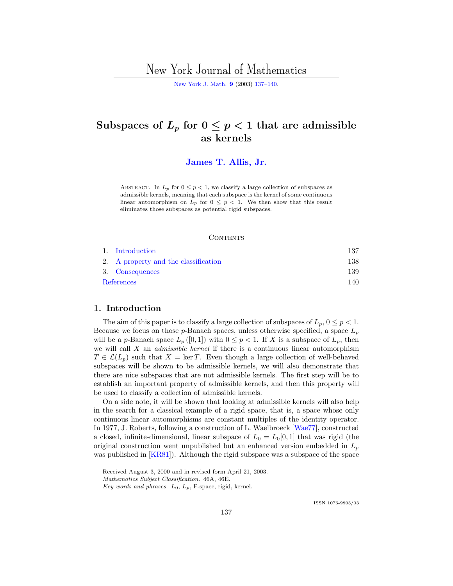# New York Journal of Mathematics

[New York J. Math.](http://nyjm.albany.edu:8000/nyjm.html) **[9](http://nyjm.albany.edu:8000/j/2003/Vol9.htm)** (2003) [137–140](http://nyjm.albany.edu:8000/j/2003/9-10.html).

# Subspaces of  $L_p$  for  $0 \leq p < 1$  that are admissible **as kernels**

### **[James T. Allis, Jr.](#page-3-0)**

ABSTRACT. In  $L_p$  for  $0 \leq p < 1$ , we classify a large collection of subspaces as admissible kernels, meaning that each subspace is the kernel of some continuous linear automorphism on  $L_p$  for  $0 \leq p < 1$ . We then show that this result eliminates those subspaces as potential rigid subspaces.

#### CONTENTS

|            | 1. Introduction                      | 137 |
|------------|--------------------------------------|-----|
|            | 2. A property and the classification | 138 |
|            | 3. Consequences                      | 139 |
| References |                                      | 140 |
|            |                                      |     |

### **1. Introduction**

The aim of this paper is to classify a large collection of subspaces of  $L_p$ ,  $0 \leq p < 1$ . Because we focus on those  $p$ -Banach spaces, unless otherwise specified, a space  $L_p$ will be a p-Banach space  $L_p([0,1])$  with  $0 \leq p < 1$ . If X is a subspace of  $L_p$ , then we will call  $X$  an *admissible kernel* if there is a continuous linear automorphism  $T \in \mathcal{L}(L_p)$  such that  $X = \ker T$ . Even though a large collection of well-behaved subspaces will be shown to be admissible kernels, we will also demonstrate that there are nice subspaces that are not admissible kernels. The first step will be to establish an important property of admissible kernels, and then this property will be used to classify a collection of admissible kernels.

On a side note, it will be shown that looking at admissible kernels will also help in the search for a classical example of a rigid space, that is, a space whose only continuous linear automorphisms are constant multiples of the identity operator. In 1977, J. Roberts, following a construction of L. Waelbroeck [[Wae77\]](#page-3-0), constructed a closed, infinite-dimensional, linear subspace of  $L_0 = L_0[0, 1]$  that was rigid (the original construction went unpublished but an enhanced version embedded in  $L_p$ was published in [[KR81\]](#page-3-0)). Although the rigid subspace was a subspace of the space

ISSN 1076-9803/03

Received August 3, 2000 and in revised form April 21, 2003.

Mathematics Subject Classification. 46A, 46E.

Key words and phrases.  $L_0$ ,  $L_p$ , F-space, rigid, kernel.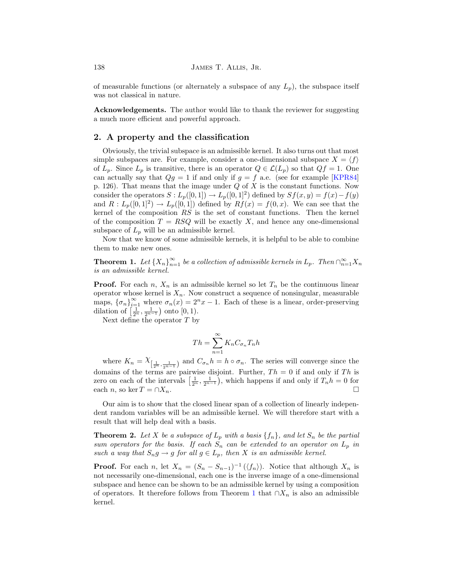<span id="page-1-0"></span>of measurable functions (or alternately a subspace of any  $L_p$ ), the subspace itself was not classical in nature.

**Acknowledgements.** The author would like to thank the reviewer for suggesting a much more efficient and powerful approach.

## **2. A property and the classification**

Obviously, the trivial subspace is an admissible kernel. It also turns out that most simple subspaces are. For example, consider a one-dimensional subspace  $X = \langle f \rangle$ of  $L_p$ . Since  $L_p$  is transitive, there is an operator  $Q \in \mathcal{L}(L_p)$  so that  $Qf = 1$ . One can actually say that  $Qg = 1$  if and only if  $g = f$  a.e. (see for example [[KPR84\]](#page-3-0) p. 126). That means that the image under  $Q$  of  $X$  is the constant functions. Now consider the operators  $S : L_p([0,1]) \to L_p([0,1]^2)$  defined by  $Sf(x,y) = f(x) - f(y)$ and  $R: L_p([0,1]^2) \to L_p([0,1])$  defined by  $Rf(x) = f(0,x)$ . We can see that the kernel of the composition RS is the set of constant functions. Then the kernel of the composition  $T = RSG$  will be exactly X, and hence any one-dimensional subspace of  $L_p$  will be an admissible kernel.

Now that we know of some admissible kernels, it is helpful to be able to combine them to make new ones.

**Theorem 1.** Let  $\{X_n\}_{n=1}^{\infty}$  be a collection of admissible kernels in  $L_p$ . Then  $\bigcap_{n=1}^{\infty} X_n$ is an admissible kernel.

**Proof.** For each n,  $X_n$  is an admissible kernel so let  $T_n$  be the continuous linear operator whose kernel is  $X_n$ . Now construct a sequence of nonsingular, measurable maps,  $\{\sigma_n\}_{i=1}^{\infty}$  where  $\sigma_n(x)=2^n x-1$ . Each of these is a linear, order-preserving dilation of  $\left[\frac{1}{2^n}, \frac{1}{2^{n-1}}\right)$  onto  $[0, 1)$ .

Next define the operator  $T$  by

$$
Th = \sum_{n=1}^{\infty} K_n C_{\sigma_n} T_n h
$$

where  $K_n = \chi_{\left[\frac{1}{2^n}, \frac{1}{2^{n-1}}\right)}$  and  $C_{\sigma_n} h = h \circ \sigma_n$ . The series will converge since the domains of the terms are pairwise disjoint. Further,  $Th = 0$  if and only if Th is zero on each of the intervals  $\left[\frac{1}{2^n}, \frac{1}{2^{n-1}}\right)$ , which happens if and only if  $T_n h = 0$  for each  $n$ , so ker  $T = \bigcap X_n$ .

Our aim is to show that the closed linear span of a collection of linearly independent random variables will be an admissible kernel. We will therefore start with a result that will help deal with a basis.

**Theorem 2.** Let X be a subspace of  $L_p$  with a basis  $\{f_n\}$ , and let  $S_n$  be the partial sum operators for the basis. If each  $S_n$  can be extended to an operator on  $L_p$  in such a way that  $S_n g \to g$  for all  $g \in L_p$ , then X is an admissible kernel.

**Proof.** For each n, let  $X_n = (S_n - S_{n-1})^{-1} (\langle f_n \rangle)$ . Notice that although  $X_n$  is not necessarily one-dimensional, each one is the inverse image of a one-dimensional subspace and hence can be shown to be an admissible kernel by using a composition of operators. It therefore follows from Theorem 1 that  $\cap X_n$  is also an admissible kernel.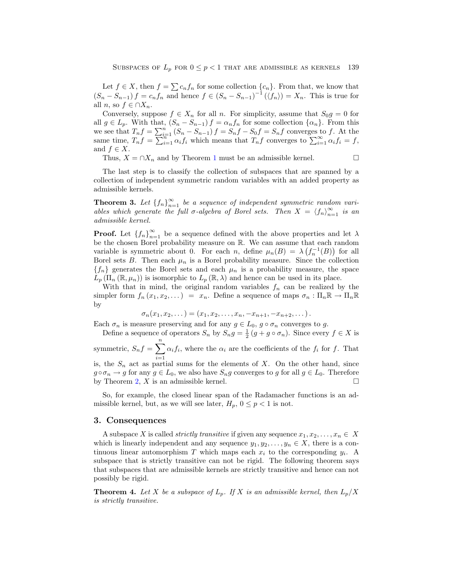<span id="page-2-0"></span>Let  $f \in X$ , then  $f = \sum c_n f_n$  for some collection  $\{c_n\}$ . From that, we know that  $(S_n - S_{n-1}) f = c_n f_n$  and hence  $f \in (S_n - S_{n-1})^{-1} (\langle f_n \rangle) = X_n$ . This is true for all *n*, so  $f \in \bigcap X_n$ .

Conversely, suppose  $f \in X_n$  for all n. For simplicity, assume that  $S_0g = 0$  for all  $g \in L_p$ . With that,  $(S_n - S_{n-1}) f = \alpha_n f_n$  for some collection  $\{\alpha_n\}$ . From this we see that  $T_n f = \sum_{i=1}^n (S_n - S_{n-1}) f = S_n f - S_0 f = S_n f$  converges to f. At the same time,  $T_n f = \sum_{i=1}^{n} \alpha_i f_i$  which means that  $T_n f$  converges to  $\sum_{i=1}^{\infty} \alpha_i f_i = f$ , and  $f \in X$ .

Thus,  $X = \bigcap X_n$  and by Theorem [1](#page-1-0) must be an admissible kernel.  $\Box$ 

The last step is to classify the collection of subspaces that are spanned by a collection of independent symmetric random variables with an added property as admissible kernels.

**Theorem 3.** Let  $\{f_n\}_{n=1}^{\infty}$  be a sequence of independent symmetric random variables which generate the full  $\sigma$ -algebra of Borel sets. Then  $X = \langle f_n \rangle_{n=1}^{\infty}$  is an admissible kernel.

**Proof.** Let  $\{f_n\}_{n=1}^{\infty}$  be a sequence defined with the above properties and let  $\lambda$ be the chosen Borel probability measure on R. We can assume that each random variable is symmetric about 0. For each n, define  $\mu_n(B) = \lambda \left( f_n^{-1}(B) \right)$  for all Borel sets B. Then each  $\mu_n$  is a Borel probability measure. Since the collection  ${f_n}$  generates the Borel sets and each  $\mu_n$  is a probability measure, the space  $L_p(\Pi_n(\mathbb{R}, \mu_n))$  is isomorphic to  $L_p(\mathbb{R}, \lambda)$  and hence can be used in its place.

With that in mind, the original random variables  $f_n$  can be realized by the simpler form  $f_n(x_1, x_2,...) = x_n$ . Define a sequence of maps  $\sigma_n : \Pi_n \mathbb{R} \to \Pi_n \mathbb{R}$ by

$$
\sigma_n(x_1, x_2, \dots) = (x_1, x_2, \dots, x_n, -x_{n+1}, -x_{n+2}, \dots).
$$

Each  $\sigma_n$  is measure preserving and for any  $g \in L_0$ ,  $g \circ \sigma_n$  converges to g.

Define a sequence of operators  $S_n$  by  $S_n g = \frac{1}{2} (g + g \circ \sigma_n)$ . Since every  $f \in X$  is symmetric,  $S_n f = \sum_{i=1}^{n} \alpha_i f_i$ , where the  $\alpha_i$  are the coefficients of the  $f_i$  for f. That

is, the  $S_n$  act as partial sums for the elements of X. On the other hand, since  $g \circ \sigma_n \to g$  for any  $g \in L_0$ , we also have  $S_n g$  converges to g for all  $g \in L_0$ . Therefore by Theorem [2,](#page-1-0) X is an admissible kernel.

So, for example, the closed linear span of the Radamacher functions is an admissible kernel, but, as we will see later,  $H_p$ ,  $0 \le p < 1$  is not.

#### **3. Consequences**

A subspace X is called *strictly transitive* if given any sequence  $x_1, x_2, \ldots, x_n \in X$ which is linearly independent and any sequence  $y_1, y_2, \ldots, y_n \in X$ , there is a continuous linear automorphism T which maps each  $x_i$  to the corresponding  $y_i$ . A subspace that is strictly transitive can not be rigid. The following theorem says that subspaces that are admissible kernels are strictly transitive and hence can not possibly be rigid.

**Theorem 4.** Let X be a subspace of  $L_p$ . If X is an admissible kernel, then  $L_p/X$ is strictly transitive.